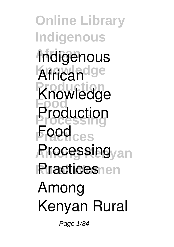**Online Library Indigenous African Indigenous African**dge **Production Food Production F**ged<sub>ces</sub> **Among Kenyan Processing Rractices**nen **Knowledge Among Kenyan Rural**

Page 1/84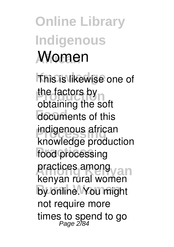## **Online Library Indigenous African Women**

**This is likewise one of** the factors by **Food** documents of this **indigenous african** food processing **practices among by online.** You might obtaining the soft **knowledge production kenyan rural women** not require more times to spend to go Page 2/84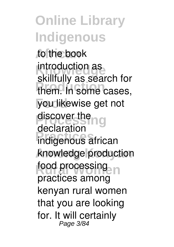**African** to the book **INTOQUCTION AS Production** them. In some cases, **Food** you likewise get not discover the **ng Practices** indigenous african **Among Kenyan** knowledge production food processing introduction as skillfully as search for declaration practices among kenyan rural women that you are looking for. It will certainly Page 3/84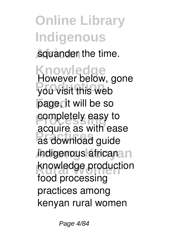squander the time.

**Knowledge Production** you visit this web page, it will be so **completely easy to Practices** as download guide *indigenous* africana n knowledge production However below, gone acquire as with ease food processing practices among kenyan rural women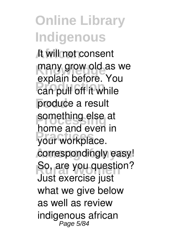**African** It will not consent many grow old as we **Production**<br>
can pull off it while **Food** produce a result **something else at Practices** your workplace. correspondingly easy! **So, are you question?** explain before. You home and even in Just exercise just what we give below as well as review **indigenous african** Page 5/84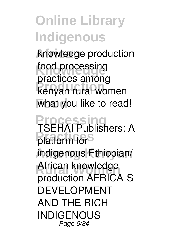**African knowledge production** food processing **Production kenyan rural women Food** what you like to read! **practices among**

**Processing Practices** *platform for* **Among Kenyan** *indigenous Ethiopian/* **Rural Women** *African knowledge TSEHAI Publishers: A production AFRICA'S DEVELOPMENT AND THE RICH INDIGENOUS* Page 6/84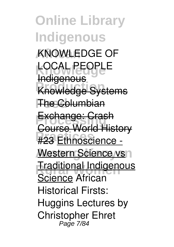**Online Library Indigenous African** *KNOWLEDGE OF* **Knowledge** *LOCAL PEOPLE* **Knowledge Systems The Columbian Exchange: Crash Practices** #23 Ethnoscience - **Western Science vsn Traditional Indigenous Indigenous** Course World History Science *African Historical Firsts: Huggins Lectures by Christopher Ehret* Page 7/84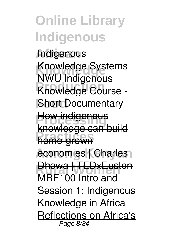**African** *Indigenous* **Knowledge** *Knowledge Systems* **Production** *Knowledge Course -* **Food** *Short Documentary* **How indigenous home-grown** *NWU Indigenous* knowledge can build

economies | Charles<sub>1</sub>

**Dhewa | TEDxEuston** 

*MRF100 Intro and Session 1: Indigenous Knowledge in Africa* Reflections on Africa's Page 8/84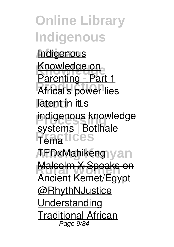**Online Library Indigenous African** Indigenous **Knowledge** Knowledge on *Africa*s power lies **Food** *latent in it's* **indigenous knowledge Practices** *Tema |* **Among Kenyan** *TEDxMahikeng* **Malcolm X Speaks on** Parenting - Part 1 *systems | Botlhale* Ancient Kemet/Egypt @RhythNJustice **Understanding** Traditional African Page 9/84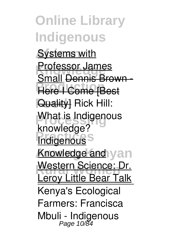**Online Library Indigenous Systems with Professor James Prime Brown Food** Quality] *Rick Hill:* **What is Indigenous Indigenous Knowledge** and yan **Western Science: Dr.**<br>Lexeu Little Beex Tells Small Dennis Brown *knowledge?* Leroy Little Bear Talk Kenya's Ecological Farmers: Francisca Mbuli - Indigenous Page 10/84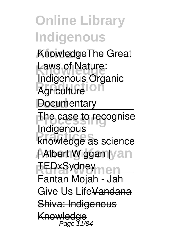**African** Knowledge**The Great Laws of Nature: Agriculture Food Documentary Indigenous Organic**

The case to recognise Indigenous

**Practices** knowledge as science

Albert Wiggan yan

**REDxSydney**<br>
Men Fantan Mojah - Jah

Give Us LifeVandana

Shiva: Indigenous

Knowledge Page 11/84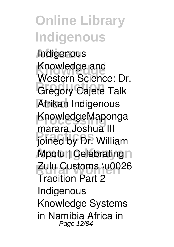#### **Online Library Indigenous African** Indigenous **Knowledge** Knowledge and *<u>Gregory</u>* Cajete Talk **Food** Afrikan Indigenous KnowledgeMaponga **Practices** *joined by Dr. William* **Among Kenyan** *Mpofu | Celebrating* **Rural Women** *Zulu Customs \u0026* Western Science: Dr. *marara Joshua III Tradition Part 2 Indigenous Knowledge Systems in Namibia* Africa in Page 12/84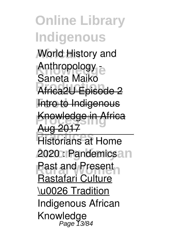**African** World History and Anthropology -**Africa2U Episode 2 Fntro to Indigenous Knowledge in Africa Prage 2017**<br> **Principle Home 2020**: Pandemicsan Saneta Maiko Aug 2017

Past and Present

Rastafari Culture

\u0026 Tradition **Indigenous African Knowledge** Page 13/84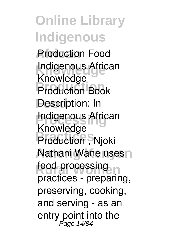**Online Library Indigenous African Production Food Indigenous African Production** Production Book **Description: In Indigenous African** Production , Njoki **Nathani Wane uses n** food-processing Knowledge Knowledge practices - preparing, preserving, cooking, and serving - as an entry point into the Page 14/84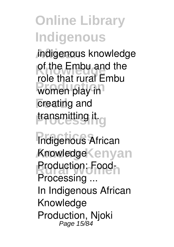**African** indigenous knowledge of the Embu and the women play in **Food** creating and **Processing** transmitting it. role that rural Embu

**Practices Indigenous African Among Kenyan Knowledge Production: Food-Processing ...** In Indigenous African Knowledge Production, Njoki Page 15/84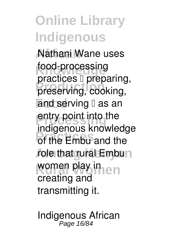**African** Nathani Wane uses food-processing produced proparing<br>preserving, cooking, and serving  $\Box$  as an entry point into the **Practices** of the Embu and the role that gural Embun women play in en practices  $\mathbb I$  preparing. indigenous knowledge creating and transmitting it.

**Indigenous African** Page 16/84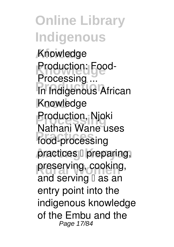**Online Library Indigenous African Knowledge Production: Food-Production**<br> **Production Food** Knowledge **Processing** Production, Njoki **Practices** food-processing practices l preparing, preserving, cooking, **Processing ...** Nathani Wane uses and serving  $\mathbb I$  as an entry point into the indigenous knowledge of the Embu and the Page 17/84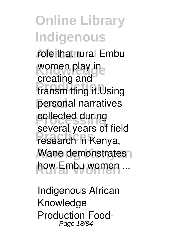**African** role that rural Embu women play in **Production** transmitting it.Using personal narratives *<u>collected</u>* during **Practices** research in Kenya, **Wane demonstrates** how Embu women ... creating and several years of field

**Indigenous African Knowledge Production Food-**Page 18/84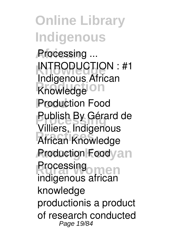**Online Library Indigenous African Processing ... INTRODUCTION : #1 Production Food** Production Food **Publish By Gérard de Practices** African Knowledge *Aroduction Foodyan* **Processing** Indigenous African Villiers, Indigenous indigenous african knowledge productionis a product of research conducted Page 19/84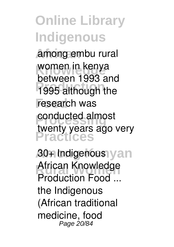**African** among embu rural women in kenya<br>hetwaan 1002.3 **Production** 1995 although the **Food** research was **Property** conducted almost **Practices** between 1993 and twenty years ago very

**Among Kenyan 30+ Indigenous Rural Women African Knowledge Production Food ...** the Indigenous (African traditional medicine, food Page 20/84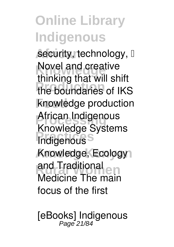security, technology, D **Novel and creative** the boundaries of IKS **Food** knowledge production **African Indigenous Practices Among Kenyan** Knowledge, Ecology and Traditional<br>Modising The men thinking that will shift Knowledge Systems Medicine The main focus of the first

**[eBooks] Indigenous** Page 21/84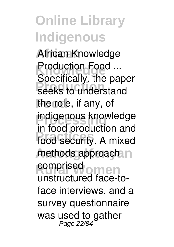**African African Knowledge Production Food ...**<br>Creativelly, the real **Production** seeks to understand the role, if any, of **indigenous knowledge Practices** food security. A mixed methods approach in **comprised** omen Specifically, the paper in food production and unstructured face-toface interviews, and a survey questionnaire was used to gather Page 22/84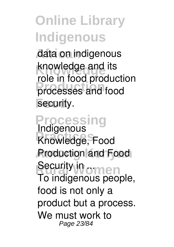**African** data on indigenous **Knowledge** knowledge and its **Production** processes and food security. role in food production

**Processing Practices Knowledge, Food** *Production and Food* **Security in omen Indigenous** To indigenous people, food is not only a product but a process. We must work to Page 23/84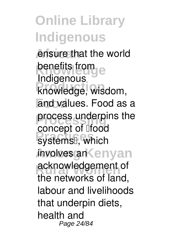ensure that the world **benefits from example Production** knowledge, wisdom, **Food** and values. Food as a process underpins the systems<sup>[]</sup>, which **Among Kenyan** involves an **Rural Montgoment of Indigenous** concept of **Ifood** the networks of land, labour and livelihoods that underpin diets, health and Page 24/84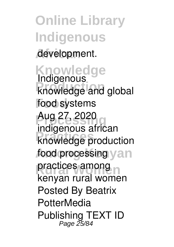**Online Library Indigenous African** development.

**Knowledge knowledge and global Food food systems Processing** Aug 27, 2020 **Practices** knowledge production food processing yan practices among **Indigenous** indigenous african kenyan rural women Posted By Beatrix **PotterMedia** Publishing TEXT ID<br>Page 25/84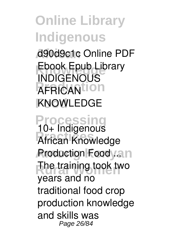**African** d90d9c1c Online PDF Ebook Epub Library<br>**EDIGENOUS AFRICANTION Food** KNOWLEDGE INDIGENOUS

**Processing Practices African Knowledge** *<u>Aroduction</u>* Foodyan The training took two **10+ Indigenous** years and no traditional food crop production knowledge and skills was Page 26/84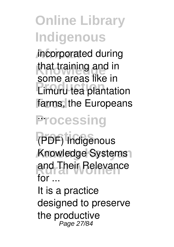**African** incorporated during that training and in **Production** Limuru tea plantation farms, the Europeans some areas like in

## **Processing**

**Practices (PDF) Indigenous Among Kenyan Knowledge Systems Rural Women and Their Relevance for ...**

It is a practice designed to preserve the productive Page 27/84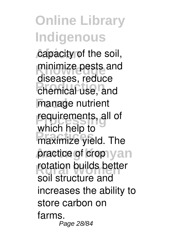capacity of the soil, minimize pests and **Production** chemical use, and **Food** manage nutrient **requirements**, all of maximize yield. The practice of crop yan rotation builds better diseases, reduce which help to soil structure and increases the ability to store carbon on farms. Page 28/84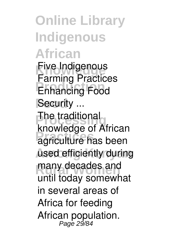**Online Library Indigenous African Five Indigenous Production Food Security ... The traditional Rifemenge of American** used efficiently during many decades and **Farming Practices** knowledge of African until today somewhat in several areas of Africa for feeding African population. Page 29/84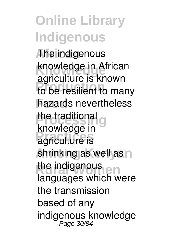**African** The indigenous **Knowledge** knowledge in African **Production** to be resilient to many **Food** hazards nevertheless the traditional g **Producture** is shrinking as well as n the indigenous<br>
Rural White II agriculture is known knowledge in languages which were the transmission based of any indigenous knowledge Page 30/84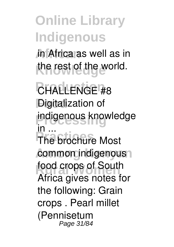**African** in Africa as well as in the rest of the world.

**Production CHALLENGE #8 Pigitalization of indigenous knowledge Practice** Most common indigenous<sup>1</sup> food crops of South **in ...** Africa gives notes for the following: Grain crops . Pearl millet (Pennisetum Page 31/84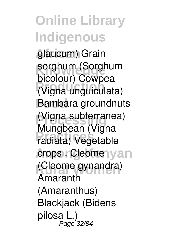**African** glaucum) Grain sorghum (Sorghum **Production** (Vigna unguiculata) **Food** Bambara groundnuts (Vigna subterranea) **Practices** radiata) Vegetable **crops . Cleomenyan** (Cleome gynandra) bicolour) Cowpea Mungbean (Vigna Amaranth (Amaranthus) Blackjack (Bidens pilosa L.) Page 32/84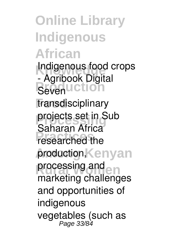**Online Library Indigenous African Indigenous food crops Bevenuction Food** transdisciplinary projects set in Sub **Practices** researched the production, Kenyan processing and **end - Agribook Digital** Saharan Africa marketing challenges and opportunities of indigenous vegetables (such as Page 33/84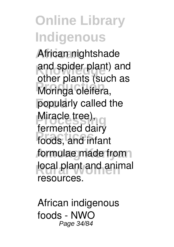**African** African nightshade and spider plant) and **Moringa oleifera, Food** popularly called the **Miracle tree)**, **Practices** foods, and infant formulae made from local plant and animal other plants (such as fermented dairy resources.

**African indigenous foods - NWO** Page 34/84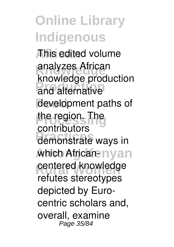**Online Library Indigenous African** This edited volume **Knowledge** analyzes African and alternative development paths of the region. The demonstrate ways in which African-nyan centered knowledge knowledge production contributors refutes stereotypes depicted by Eurocentric scholars and, overall, examine Page 35/84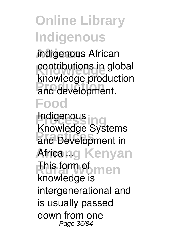**African** indigenous African contributions in global and development. knowledge production

#### **Food**

**Indigenous Practices and Development in** Africang Kenyan **Rural Women** This form of **Knowledge Systems** knowledge is intergenerational and is usually passed down from one Page 36/84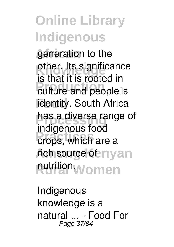**generation** to the other. Its significance **Production**<br>
culture and people<sup>[]</sup>s **Fidentity.** South Africa has a diverse range of **Practices** crops, which are a *r*ich source of nyan **Rutrition Women** is that it is rooted in indigenous food

**Indigenous knowledge is a natural ... - Food For** Page 37/84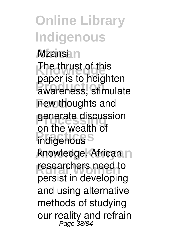**Online Library Indigenous African Mzansi** The thrust of this awareness, stimulate **Food** new thoughts and generate discussion **Practice** Model knowledge. African n researchers need to paper is to heighten on the wealth of persist in developing and using alternative methods of studying our reality and refrain<br>Page 38/84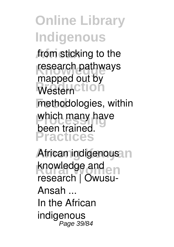from sticking to the research pathways Western<sup>Ction</sup> **Food** methodologies, within which many have **Practices** mapped out by been trained.

**African indigenous** in knowledge and<br> **Runal** Mountain **research | Owusu-Ansah ...** In the African indigenous Page 39/84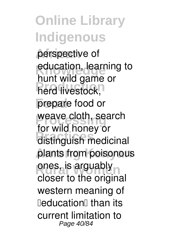perspective of education, learning to herd livestock, **Food** prepare food or weave cloth, search **Practices** distinguish medicinal plants from poisonous ones, is arguably hunt wild game or for wild honey or closer to the original western meaning of **DeducationD** than its current limitation to Page 40/84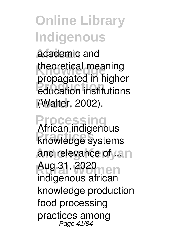**African** academic and theoretical meaning **Production** education institutions **Food** (Walter, 2002). propagated in higher

**Processing Practices knowledge systems** and relevance of an **Aug 31, 2020 African indigenous** indigenous african knowledge production food processing practices among Page 41/84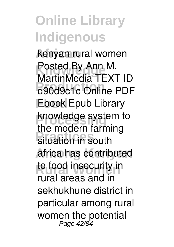**African** kenyan rural women **Posted By Ann M.**<br>Martin Ledie TEV **Production** d90d9c1c Online PDF **Food** Ebook Epub Library knowledge system to **Prime Collection**<br> **Property Among Kenyan** africa has contributed to food insecurity in MartinMedia TEXT ID the modern farming rural areas and in sekhukhune district in particular among rural women the potential<br>Page 42/84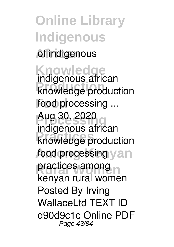#### **Online Library Indigenous African** of indigenous

**Knowledge Production knowledge production Food food processing ... Processing** Aug 30, 2020 **Practices** knowledge production food processing yan practices among **indigenous african** indigenous african kenyan rural women Posted By Irving WallaceLtd TEXT ID d90d9c1c Online PDF Page 43/84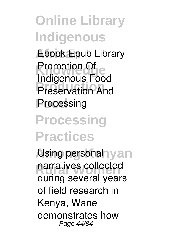**African** Ebook Epub Library **Kromotion**<br>Lindiscree is East **Preservation** And **Food** Processing Promotion Of Indigenous Food

**Processing Practices**

**Asing personal yan** narratives collected during several years of field research in Kenya, Wane demonstrates how Page 44/84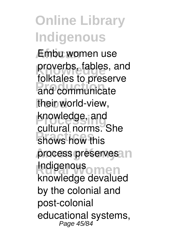**African** Embu women use proverbs, fables, and<br>fallected to procent **Production** and communicate their world-view, knowledge, and shows how this process preserves n **Indigenous**<br>Imaginal women folktales to preserve cultural norms. She knowledge devalued by the colonial and post-colonial educational systems, Page 45/84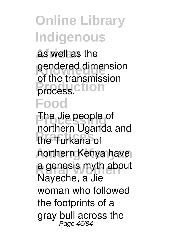**African** as well as the gendered dimension **Process.ction Food** of the transmission

The Jie people of **Practices** the Turkana of **Among Kenyan** northern Kenya have **a genesis myth about** northern Uganda and Nayeche, a Jie woman who followed the footprints of a gray bull across the Page 46/84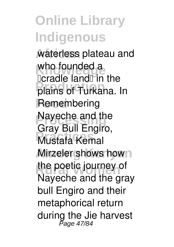**African** waterless plateau and who founded a plains of Turkana. In **Food** Remembering **Nayeche and the Practices** Mustafa Kemal **Mirzeler shows hown** the poetic journey of **Deradle landD in the** Gray Bull Engiro, Nayeche and the gray bull Engiro and their metaphorical return during the Jie harvest Page 47/84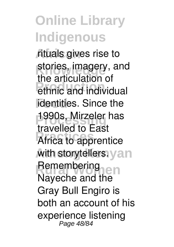**African** rituals gives rise to stories, imagery, and ethnic and individual **Follontities**. Since the 1990s, Mirzeler has **Practices** Africa to apprentice with storytellers.yan Remembering<br>Navesheend then the articulation of travelled to East Nayeche and the Gray Bull Engiro is both an account of his experience listening Page 48/84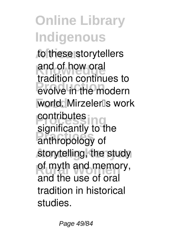to these storytellers and of how oral **Production** evolve in the modern world. Mirzeler<sup>[]</sup>s work **Properties Practices** anthropology of storytelling, the study of myth and memory, tradition continues to contributes significantly to the and the use of oral tradition in historical studies.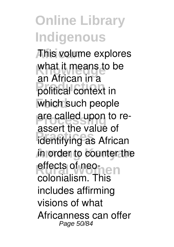**African** This volume explores what it means to be **Production** political context in which such people are called upon to re-**Practices** identifying as African **Among Kenyan** in order to counter the **Rural Company** an African in a assert the value of colonialism. This includes affirming visions of what Africanness can offer Page 50/84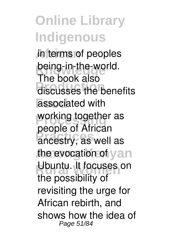#### **Online Library Indigenous African** in terms of peoples being-in-the-world. **Prince Book discusses** the benefits **Food** associated with working together as **Practices** ancestry, as well as the evocation of yan Ubuntu. It focuses on The book also people of African the possibility of revisiting the urge for African rebirth, and shows how the idea of Page 51/84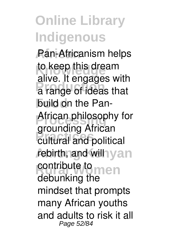**African** Pan-Africanism helps to keep this dream a range of ideas that **Food** build on the Pan-**African philosophy for Practices** cultural and political rebirth, and will yan **contribute to men** alive. It engages with grounding African debunking the mindset that prompts many African youths and adults to risk it all Page 52/84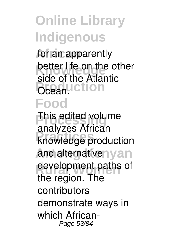for an apparently **better life on the other Production** side of the Atlantic

#### **Food**

**This edited volume Practices** knowledge production and alternativenyan development paths of analyzes African the region. The contributors demonstrate ways in which African-Page 53/84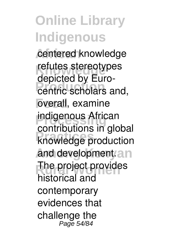centered knowledge refutes stereotypes **Production** centric scholars and, **Food** overall, examine **indigenous African Practices** knowledge production and development.an The project provides depicted by Eurocontributions in global historical and contemporary evidences that challenge the Page 54/84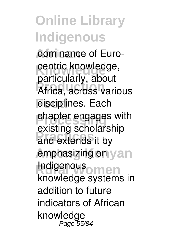**African** dominance of Eurocentric knowledge, **Production** Africa, across various **Food** disciplines. Each *<u>Chapter</u>* engages with **Practices** and extends it by **emphasizing on yan Indigenous**<br> **Impulsable** particularly, about existing scholarship knowledge systems in addition to future indicators of African knowledge Page 55/84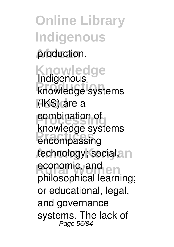**Online Library Indigenous** production.

**Knowledge Rindigenous**<br> **Rinowledge** systems **Food** (IKS) are a **combination of Practices** encompassing technology; social, n **economic, and en** Indigenous knowledge systems philosophical learning; or educational, legal, and governance systems. The lack of Page 56/84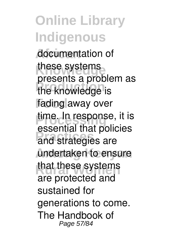**Online Library Indigenous African** documentation of these systems **Production** the knowledge is **Food** fading away over time. In response, it is and strategies are **Among Kenyan** undertaken to ensure that these systems presents a problem as essential that policies are protected and sustained for generations to come. The Handbook of Page 57/84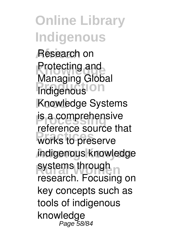**Online Library Indigenous African** Research on **Protecting and Indigenous** On **Food** Knowledge Systems **is a comprehensive** works to preserve **Among Kenyan** indigenous knowledge systems through n Managing Global reference source that research. Focusing on key concepts such as tools of indigenous knowledge Page 58/84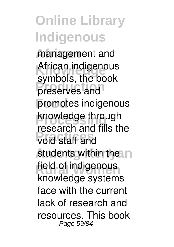**African** management and African indigenous preserves and **Food** promotes indigenous knowledge through void staff and students within the n field of indigenous symbols, the book research and fills the knowledge systems face with the current lack of research and resources. This book Page 59/84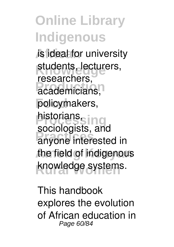**African** is ideal for university students, lecturers, **Production** policymakers, **Processing Practices** anyone interested in **Among Kenyan** the field of indigenous knowledge systems. researchers, historians, sociologists, and

This handbook explores the evolution of African education in Page 60/84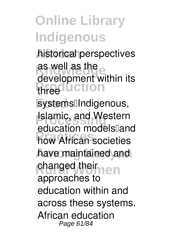**African** historical perspectives as well as the *<u>three</u>duction* development within its

systems<sup>[]</sup>Indigenous, **Islamic, and Western Practices** how African societies have maintained and changed their education models<sup>[1</sup>and approaches to education within and across these systems. African education Page 61/84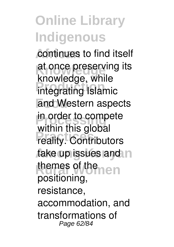continues to find itself at once preserving its<br> **Knowledge** while **Integrating Islamic Food** and Western aspects in order to compete **Practices**<br> **Preality.** Contributors take up issues and n themes of themen knowledge, while within this global positioning, resistance, accommodation, and transformations of Page 62/84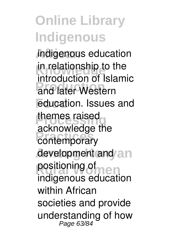**African** indigenous education in relationship to the **Production** of the **Food** education. Issues and themes raised contemporary development and an positioning of **men** introduction of Islamic acknowledge the indigenous education within African societies and provide understanding of how<br>Page 63/84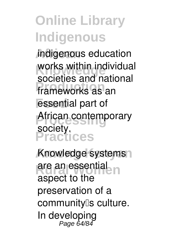**African** indigenous education works within individual **Production** frameworks as an **Food** essential part of **African contemporary Practices** societies and national society.

Knowledge systems<sup>1</sup> are an essential aspect to the preservation of a community<sup>[]</sup>s culture. In developing Page 64/84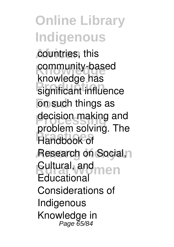**Online Library Indigenous** countries, this community-based **Riftmont can**<br>
significant influence **Food** on such things as decision making and **Practices** Handbook of **Research on Social, n Cultural, and men** knowledge has problem solving. The **Educational** Considerations of Indigenous Knowledge in Page 65/84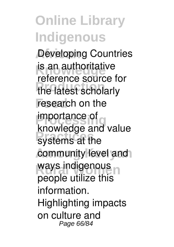**Developing Countries** is an authoritative **Production** the latest scholarly **Food** research on the **Importance** of **Referred** Systems at the community level and ways indigenous<br> **Records** will be this process of reference source for importance of knowledge and value people utilize this information. Highlighting impacts on culture and Page 66/84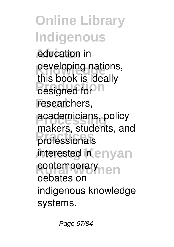education in developing nations, designed for **P** researchers, **Productions**, policy **Practices** professionals *interested* inenyan contemporary<sub>nen</sub> this book is ideally makers, students, and debates on indigenous knowledge systems.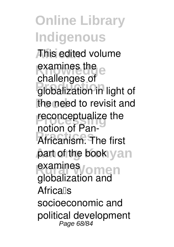#### **Online Library Indigenous African** This edited volume examines the examines **Production** globalization in light of the need to revisit and **reconceptualize** the **Practices** Africanism. The first part of the book yan examines<sub>/omen</sub> challenges of notion of Panglobalization and **Africalls** socioeconomic and political development Page 68/84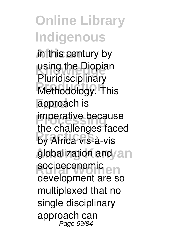**African** in this century by using the Diopian **Methodology.** This approach is **imperative because** by Africa vis-à-vis globalization and an socioeconomic<br>
showlareneut<br>
alcundar Pluridisciplinary the challenges faced development are so multiplexed that no single disciplinary approach can Page 69/84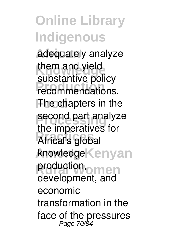**African** adequately analyze them and yield **Production** recommendations. **The chapters in the** second part analyze **Africals** global knowledge**Kenyan** production, omen substantive policy the imperatives for development, and economic transformation in the face of the pressures Page 70/84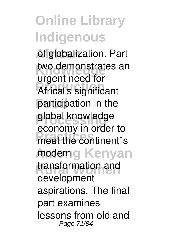of globalization. Part two demonstrates an **Africa**ls significant **Food** participation in the global knowledge **Procession**<br>
meet the continent<sup>®</sup>s moderng Kenyan transformation and urgent need for economy in order to development aspirations. The final part examines lessons from old and Page 71/84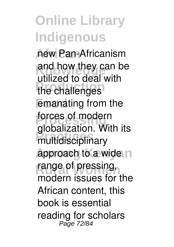**African** new Pan-Africanism and how they can be the challenges emanating from the **forces of modern Practices** multidisciplinary approach to a wide n range of pressing, utilized to deal with globalization. With its modern issues for the African content, this book is essential reading for scholars Page 72/84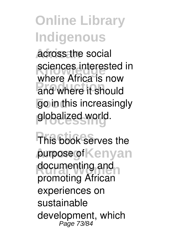**African** across the social sciences interested in **Production** and where it should **go** in this increasingly **Processing** globalized world. where Africa is now

**This book serves the purpose of Kenyan** documenting and promoting African experiences on sustainable development, which Page 73/84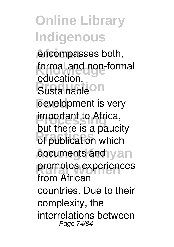encompasses both, formal and non-formal **Production** development is very **important to Africa, Production** which documents and yan promotes experiences education. but there is a paucity from African countries. Due to their complexity, the interrelations between Page 74/84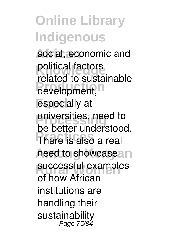social, economic and political factors development, especially at universities, need to **Practices** There is also a real heed to showcasean successful examples related to sustainable be better understood. of how African institutions are handling their sustainability Page 75/84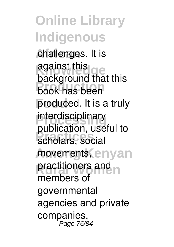challenges. It is against this <sub>cle</sub> **Production** book has been **Food** produced. It is a truly interdisciplinary **Practices** scholars, social movements, enyan practitioners and n against this background that this publication, useful to members of governmental agencies and private companies, Page 76/84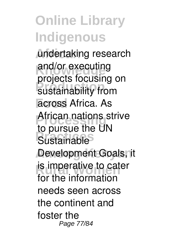**African** undertaking research and/or executing projecto receding **Food** across Africa. As **African nations strive** Sustainable Development Goals, it is imperative to cater projects focusing on to pursue the UN for the information needs seen across the continent and foster the Page 77/84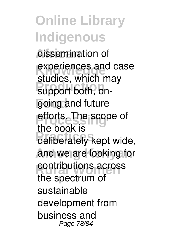**African** dissemination of experiences and case **Production** support both, ongoing and future efforts. The scope of deliberately kept wide, and we are looking for contributions across studies, which may the book is the spectrum of sustainable development from business and Page 78/84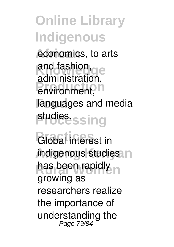economics, to arts and fashion, and environment, n **Food** languages and media studies<sub>ssing</sub> and fashion, administration,

Global interest in indigenous studies n has been rapidly n growing as researchers realize the importance of understanding the Page 79/84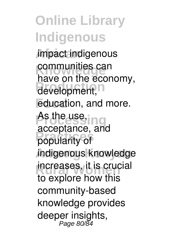**African** impact indigenous **communities can** development, **Food** education, and more. As the use, ing **Practices** popularity of **Among Kenyan** indigenous knowledge increases, it is crucial have on the economy, acceptance, and to explore how this community-based knowledge provides deeper insights, Page 80/84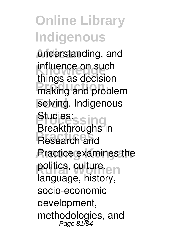**African** understanding, and influence on such making and problem **Food** solving. Indigenous **Productions Research and Practice examines the** politics, culture, en things as decision Studies: Breakthroughs in language, history, socio-economic development, methodologies, and Page 81/84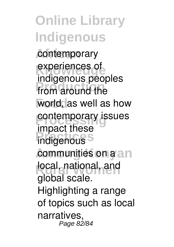#### **Online Library Indigenous** contemporary experiences of indigenous peoples

**Production** from around the **Food** world, as well as how *<u>Contemporary</u>* issues **Product indigenous communities on a an** local, national, and impact these global scale. Highlighting a range of topics such as local narratives, **..**<br>Page 82/84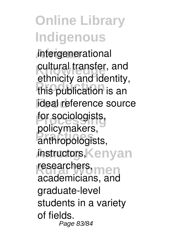**African** intergenerational cultural transfer, and<br>
cthnights and identity **Production** this publication is an **ideal** reference source for sociologists, **Practices** anthropologists, *instructors,Kenyan* researchers, men ethnicity and identity, policymakers, academicians, and graduate-level students in a variety of fields. Page 83/84